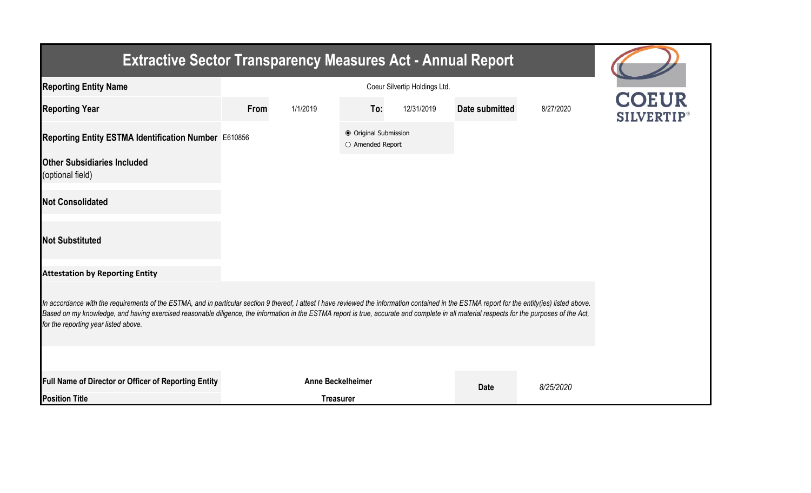| <b>Extractive Sector Transparency Measures Act - Annual Report</b>                                                                                                                                                                                                                                                                                                                                                                    |      |                          |                                           |            |                |           |      |  |  |  |  |
|---------------------------------------------------------------------------------------------------------------------------------------------------------------------------------------------------------------------------------------------------------------------------------------------------------------------------------------------------------------------------------------------------------------------------------------|------|--------------------------|-------------------------------------------|------------|----------------|-----------|------|--|--|--|--|
| <b>Reporting Entity Name</b>                                                                                                                                                                                                                                                                                                                                                                                                          |      |                          |                                           |            |                |           |      |  |  |  |  |
| <b>Reporting Year</b>                                                                                                                                                                                                                                                                                                                                                                                                                 | From | 1/1/2019                 | To:                                       | 12/31/2019 | Date submitted | 8/27/2020 | OEUR |  |  |  |  |
| Reporting Entity ESTMA Identification Number E610856                                                                                                                                                                                                                                                                                                                                                                                  |      |                          | ● Original Submission<br>O Amended Report |            |                |           |      |  |  |  |  |
| <b>Other Subsidiaries Included</b><br>(optional field)                                                                                                                                                                                                                                                                                                                                                                                |      |                          |                                           |            |                |           |      |  |  |  |  |
| <b>Not Consolidated</b>                                                                                                                                                                                                                                                                                                                                                                                                               |      |                          |                                           |            |                |           |      |  |  |  |  |
| <b>Not Substituted</b>                                                                                                                                                                                                                                                                                                                                                                                                                |      |                          |                                           |            |                |           |      |  |  |  |  |
| <b>Attestation by Reporting Entity</b>                                                                                                                                                                                                                                                                                                                                                                                                |      |                          |                                           |            |                |           |      |  |  |  |  |
| In accordance with the requirements of the ESTMA, and in particular section 9 thereof, I attest I have reviewed the information contained in the ESTMA report for the entity(ies) listed above.<br>Based on my knowledge, and having exercised reasonable diligence, the information in the ESTMA report is true, accurate and complete in all material respects for the purposes of the Act,<br>for the reporting year listed above. |      |                          |                                           |            |                |           |      |  |  |  |  |
|                                                                                                                                                                                                                                                                                                                                                                                                                                       |      |                          |                                           |            |                |           |      |  |  |  |  |
| Full Name of Director or Officer of Reporting Entity                                                                                                                                                                                                                                                                                                                                                                                  |      | <b>Anne Beckelheimer</b> |                                           |            | <b>Date</b>    | 8/25/2020 |      |  |  |  |  |
| <b>Position Title</b>                                                                                                                                                                                                                                                                                                                                                                                                                 |      | <b>Treasurer</b>         |                                           |            |                |           |      |  |  |  |  |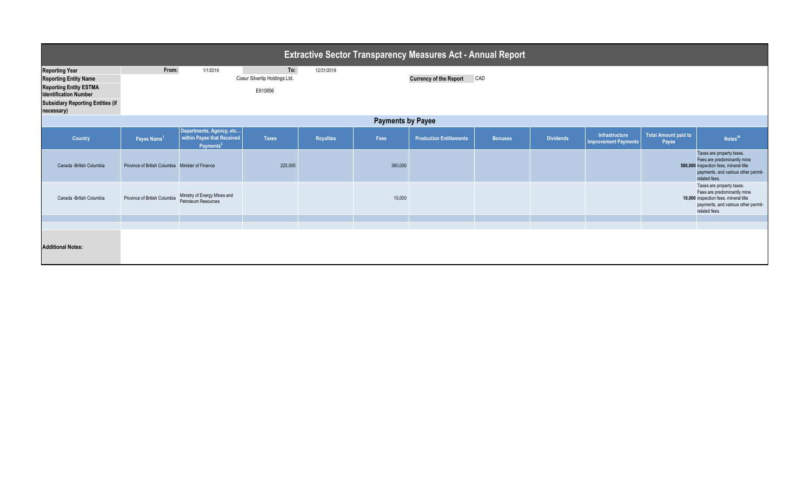| <b>Extractive Sector Transparency Measures Act - Annual Report</b>                                                                                                               |                                                  |                                                                                 |                                                 |                  |         |                                |                |                  |                                               |                               |                                                                                                                                                            |
|----------------------------------------------------------------------------------------------------------------------------------------------------------------------------------|--------------------------------------------------|---------------------------------------------------------------------------------|-------------------------------------------------|------------------|---------|--------------------------------|----------------|------------------|-----------------------------------------------|-------------------------------|------------------------------------------------------------------------------------------------------------------------------------------------------------|
| <b>Reporting Year</b><br><b>Reporting Entity Name</b><br><b>Reporting Entity ESTMA</b><br><b>Identification Number</b><br><b>Subsidiary Reporting Entities (if</b><br>necessary) | From:                                            | 1/1/2019                                                                        | To:<br>Coeur Silvertip Holdings Ltd.<br>E610856 | 12/31/2019       |         | <b>Currency of the Report</b>  | CAD            |                  |                                               |                               |                                                                                                                                                            |
| <b>Payments by Payee</b>                                                                                                                                                         |                                                  |                                                                                 |                                                 |                  |         |                                |                |                  |                                               |                               |                                                                                                                                                            |
| Country                                                                                                                                                                          | Payee Name <sup>1</sup>                          | Departments, Agency, etc<br>within Payee that Received<br>Payments <sup>2</sup> | <b>Taxes</b>                                    | <b>Royalties</b> | Fees    | <b>Production Entitlements</b> | <b>Bonuses</b> | <b>Dividends</b> | Infrastructure<br><b>Improvement Payments</b> | Total Amount paid to<br>Payee | Notes <sup>34</sup>                                                                                                                                        |
| Canada - British Columbia                                                                                                                                                        | Province of British Columbia Minister of Finance |                                                                                 | 220,000                                         |                  | 360,000 |                                |                |                  |                                               |                               | Taxes are property taxes.<br>Fees are predominantly mine<br>580,000 inspection fees, mineral title<br>payments, and various other permit-<br>related fees. |
| Canada -British Columbia                                                                                                                                                         | Province of British Columbia                     | Ministry of Energy Mines and<br>Petroleum Resources                             |                                                 |                  | 10,000  |                                |                |                  |                                               |                               | Taxes are property taxes.<br>Fees are predominantly mine<br>10,000 inspection fees, mineral title<br>payments, and various other permit-<br>related fees.  |
|                                                                                                                                                                                  |                                                  |                                                                                 |                                                 |                  |         |                                |                |                  |                                               |                               |                                                                                                                                                            |
| <b>Additional Notes:</b>                                                                                                                                                         |                                                  |                                                                                 |                                                 |                  |         |                                |                |                  |                                               |                               |                                                                                                                                                            |